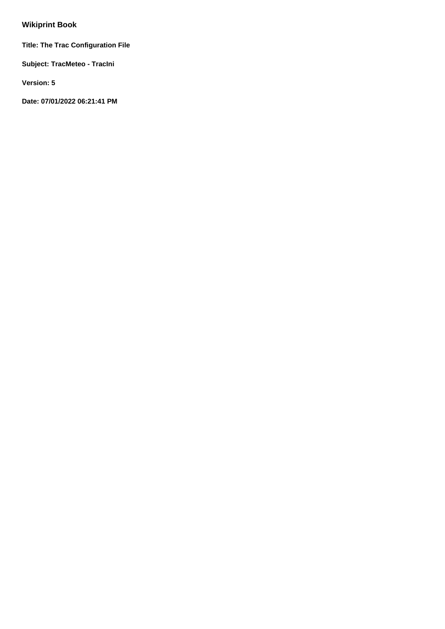# **Wikiprint Book**

**Title: The Trac Configuration File**

**Subject: TracMeteo - TracIni**

**Version: 5**

**Date: 07/01/2022 06:21:41 PM**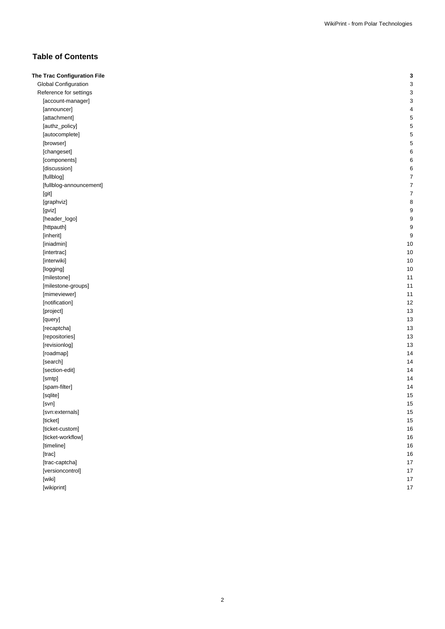## **Table of Contents**

| The Trac Configuration File | 3              |
|-----------------------------|----------------|
| Global Configuration        | з              |
| Reference for settings      | з              |
| [account-manager]           | з              |
| [announcer]                 |                |
| [attachment]                |                |
| [authz_policy]              |                |
| [autocomplete]              |                |
| [browser]                   |                |
| [changeset]                 | 6              |
| [components]                | 6              |
| [discussion]                | Е              |
| [fullblog]                  |                |
| [fullblog-announcement]     | 7              |
| [git]                       |                |
| [graphviz]                  | 8              |
| [gviz]                      | ĉ              |
| [header_logo]               | ĉ              |
| [httpauth]                  | ĉ              |
| [inherit]                   | ĉ              |
| [iniadmin]                  | 10             |
| [intertrac]                 | 10             |
| [interwiki]                 | 10             |
| [logging]                   | 1 <sup>C</sup> |
| [milestone]                 | 11             |
| [milestone-groups]          | 11             |
| [mimeviewer]                | 11             |
| [notification]              | 12             |
| [project]                   | 13             |
| [query]                     | 13             |
| [recaptcha]                 | 13             |
| [repositories]              | 13             |
| [revisionlog]               | 13             |
| [roadmap]                   | 14             |
| [search]                    | 14             |
| [section-edit]              | 14             |
| [smtp]                      | 14             |
| [spam-filter]               | 14             |
| [sqlite]                    | 15             |
| [svn]                       | 15             |
| [svn:externals]             | 15             |
| [ticket]                    | 15             |
| [ticket-custom]             | 16             |
| [ticket-workflow]           | 16             |
| [timeline]                  | 16             |
| [trac]                      | 16             |
| [trac-captcha]              | 17             |
| [versioncontrol]            | 17             |
| [wiki]                      | 17             |
| [wikiprint]                 | 17             |
|                             |                |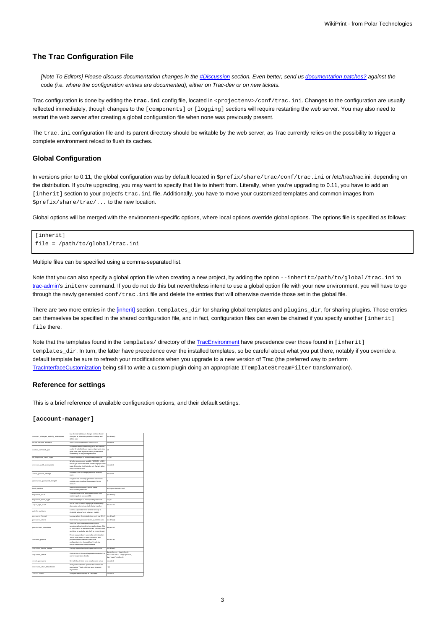## **The Trac Configuration File**

[Note To Editors] Please discuss documentation changes in the [#Discussion](https://meteo.unican.es/trac/wiki/TracIni#Discussion) section. Even better, send us documentation patches? against the code (i.e. where the configuration entries are documented), either on Trac-dev or on new tickets.

Trac configuration is done by editing the *trac.ini* config file, located in <projectenv>/conf/trac.ini. Changes to the configuration are usually reflected immediately, though changes to the [components] or [logging] sections will require restarting the web server. You may also need to restart the web server after creating a global configuration file when none was previously present.

The trac.ini configuration file and its parent directory should be writable by the web server, as Trac currently relies on the possibility to trigger a complete environment reload to flush its caches.

#### **Global Configuration**

In versions prior to 0.11, the global configuration was by default located in  $\frac{\partial \phi}{\partial t}$  in  $\frac{\partial \phi}{\partial t}$  = /trac/conf/trac.ini or /etc/trac/trac.ini, depending on the distribution. If you're upgrading, you may want to specify that file to inherit from. Literally, when you're upgrading to 0.11, you have to add an [inherit] section to your project's trac.ini file. Additionally, you have to move your customized templates and common images from \$prefix/share/trac/... to the new location.

Global options will be merged with the environment-specific options, where local options override global options. The options file is specified as follows:

```
[inherit]
file = /path/to/global/trac.ini
```
Multiple files can be specified using a comma-separated list.

Note that you can also specify a global option file when creating a new project, by adding the option  $-\text{inherit}=/\text{path}/\text{to}/\text{global}/\text{trac}.$ ini to [trac-admin](https://meteo.unican.es/trac/wiki/TracAdmin#initenv)'s initenv command. If you do not do this but nevertheless intend to use a global option file with your new environment, you will have to go through the newly generated conf/trac.ini file and delete the entries that will otherwise override those set in the global file.

There are two more entries in the [\[inherit\]](https://meteo.unican.es/trac/wiki/TracIni#inherit-section) section, templates\_dir for sharing global templates and plugins\_dir, for sharing plugins. Those entries can themselves be specified in the shared configuration file, and in fact, configuration files can even be chained if you specify another [inherit] file there.

Note that the templates found in the templates/ directory of the [TracEnvironment](https://meteo.unican.es/trac/wiki/TracEnvironment) have precedence over those found in [inherit] templates\_dir. In turn, the latter have precedence over the installed templates, so be careful about what you put there, notably if you override a default template be sure to refresh your modifications when you upgrade to a new version of Trac (the preferred way to perform [TracInterfaceCustomization](https://meteo.unican.es/trac/wiki/TracInterfaceCustomization) being still to write a custom plugin doing an appropriate ITemplateStreamFilter transformation).

#### **Reference for settings**

This is a brief reference of available configuration options, and their default settings.

#### **[account-manager]**

| account_changes_notify_addresses | List of email addresses that get notified of user<br>changes, is, new user, password change and<br><b>Heleto</b> crear                                                                                                    | (no default)                                                               |
|----------------------------------|---------------------------------------------------------------------------------------------------------------------------------------------------------------------------------------------------------------------------|----------------------------------------------------------------------------|
| allow delete account             | Allow users to delete their own account.                                                                                                                                                                                  | enabled                                                                    |
| cockie refresh pot               | Persistent sessions randomly get a new session<br>cookie ID with likelihood in percent per work hour<br>given here (zero equals to never) to decrease<br>vulnerability of long-lasting sessions.                          | 10                                                                         |
| db htrasned hash type            | Default high type of new/updated passwords                                                                                                                                                                                | crypt                                                                      |
| environ_auth_overwrite           | Whether environment variable REMOTE USER<br>should get overwritten after prograsing login form<br>input. Otherwise it will only be set, if unset at the<br>time of authentication.                                        | anahl ad                                                                   |
| force passed chance              | Force the user to change password when it's<br>reset.                                                                                                                                                                     | coabled                                                                    |
| generated_password_length        | Length of the randomly-generated passwords<br>created when resetting the password for an<br>arreset                                                                                                                       | ×                                                                          |
| hash method                      | PasswordHashMethod used to create<br>new/updated passwords                                                                                                                                                                | Et Digest EastWethod                                                       |
| htmanned file                    | Path relative to Trac environment or full host<br>machine path to password file                                                                                                                                           | Ing default)                                                               |
| htpanned hash type               | Default hash type of new/updated passwords                                                                                                                                                                                | crypt                                                                      |
| login_opt_list                   | Set to True, to switch login page style showing<br>alternative actions in a single listing together.                                                                                                                      | disabled                                                                   |
| notify actions                   | Comma separated lot of actions to notify of.<br>Available actions 'new', 'change', 'delete'.                                                                                                                              |                                                                            |
| password format                  | Legacy option, deprecated since acct_mgr-0.1.2                                                                                                                                                                            | (no default)                                                               |
| password store                   | Ordered list of password stores, queried in turn.                                                                                                                                                                         | (no default)                                                               |
| persistent_sessions              | Allow the user to be remembered across.<br>sessions without needing to re-authenticate. This<br>is, user checks a "Remember Me" checkbox and.<br>next time he visits the site, he'll be remembered.                       | disabled                                                                   |
| refresh passed                   | Re-set passwords on successful authentication.<br>This is most useful to move users to a new<br>password store or enforce new store<br>configuration (i.e. changed hash type), but<br>should be disabled/unset otherwise. | <b>Published</b>                                                           |
| register basic token             | A string required as input to pass verification.                                                                                                                                                                          | (no default)                                                               |
| register_check                   | Ordered list of IAccountRegistrationInspector's to<br>use for registration checks.                                                                                                                                        | RasicCheck, EnailCheck,<br>RotTrapCheck, RegRapCheck,<br>UnernamePermCheck |
| reset password                   | Set to False, if there is no email system setup.                                                                                                                                                                          | enabled                                                                    |
| username_char_blacklist          | Always exclude some special characters from<br>usemames. This is enforced upon new user<br>registration.                                                                                                                  | :11                                                                        |
| verify email                     | Verify the email address of Trac users.                                                                                                                                                                                   | enabled                                                                    |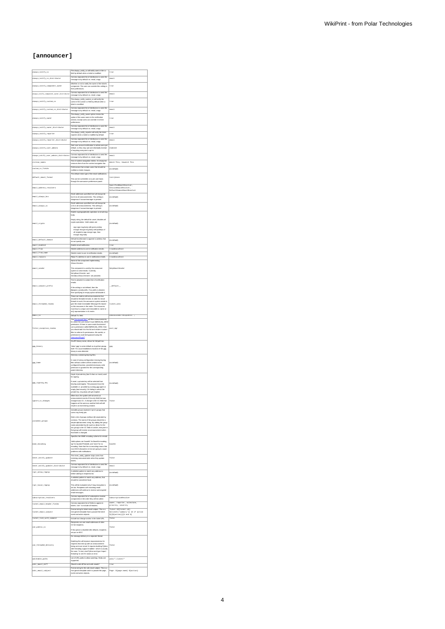## **[announcer]**

| always_notify_co                                   | The always_notify_cc will notify users in the cc<br>field by default when a ticket is modified.                                                                                                                                            | true                                                                           |
|----------------------------------------------------|--------------------------------------------------------------------------------------------------------------------------------------------------------------------------------------------------------------------------------------------|--------------------------------------------------------------------------------|
| always_notify_oc_distributor                       | Comma-separated list of distributors to send the<br>message to by default, ex. email, xmpp                                                                                                                                                 | m12                                                                            |
| always_notify_component_owner                      | Whether or not to notify the owner of the ticket's<br>component. The user can override this setting in                                                                                                                                     | true                                                                           |
|                                                    | their preferences.<br>Comma-separated list of distributors to send the                                                                                                                                                                     | $_{\text{enat1}}$                                                              |
| always_notify_component_owner_distrib              | message to by default, ex. email, xmpp                                                                                                                                                                                                     |                                                                                |
| always_notify_custom_co                            | The always_notify_custom_cc will notify the<br>users in the custom cc field by default when<br>ticket is modified.                                                                                                                         |                                                                                |
| always_notify_custom_cc_distributor                | .<br>Comma-separated list of distributors to send the<br>message to by default. ex. email, xmpp                                                                                                                                            | ems11                                                                          |
| always_notify_own                                  | The always notify owner option mimics the<br>option of the same name in the notification<br>section, except users can override it in their                                                                                                 | true                                                                           |
|                                                    | preferences.                                                                                                                                                                                                                               |                                                                                |
| always_notify_owner_distributor                    | .<br>Comma-separated list of distributors to send the<br>message to by default. ex. email, xmpp                                                                                                                                            | ems11                                                                          |
| always_notify_reporter                             | The always_notify_reporter will notify the ticket<br>reporter when a ticket is modified by default.                                                                                                                                        | true                                                                           |
| always_notify_reporter_distributor                 | Comma-separated list of distributors to send the                                                                                                                                                                                           | email                                                                          |
| always_notify_user_admins                          | message to by default, ex. email, xmpp<br>Sent user account notification to admin users per<br>default, so they may opt-out individually instead                                                                                           | enabled                                                                        |
| always_notify_user_admins_distributor              | of requiring everyone to opt-in.<br>Comma-separated list of distributors to send the                                                                                                                                                       | m11                                                                            |
| ctxtnav_names                                      | message to by default. ex. email, xmpp<br>Text of context navigation entries. An empty list<br>removes them from the context navigation bar.                                                                                               | Watch This, Unwatch This                                                       |
|                                                    | Field names that contain users that should be                                                                                                                                                                                              |                                                                                |
| custom_cc_fields                                   | notified on ticket changes<br>The default mime type of the email notifications.                                                                                                                                                            | (no default)                                                                   |
| default_email_format                               | This can be overridden on a per user basis<br>through the announcer preferences panel.                                                                                                                                                     | text/plain                                                                     |
|                                                    |                                                                                                                                                                                                                                            |                                                                                |
| email_address_resolvers                            |                                                                                                                                                                                                                                            | SpecifiedEmsilResolver,<br>SessionEmsilResolver,<br>DefaultDomsinEmsilResolver |
| email_always_boo                                   | Email addresses specified here will always be<br>bcc'd on all announcements. This setting is<br>dengerous if accountmenager is present.                                                                                                    | (no default)                                                                   |
|                                                    | Email addresses specified here will always be                                                                                                                                                                                              |                                                                                |
| email_always_co                                    | ocid on all announcements. This setting is<br>dangerous if accountmanager is present.                                                                                                                                                      | (no default)                                                                   |
|                                                    | Enable cryptographically operation on email msg<br>body.                                                                                                                                                                                   |                                                                                |
| email_crypto                                       | Empty string, the default for unset, disables all<br>crypto operations. Valid values are:                                                                                                                                                  |                                                                                |
|                                                    | ign sign msg body v<br>ith given priv                                                                                                                                                                                                      | (no default)                                                                   |
|                                                    | encrypt encrypt msg body with publisys of<br>all recipients sign, encrypt sign, then<br>encrypt msg body                                                                                                                                   |                                                                                |
| email_default_domain                               | Default hostidomain to append to address that                                                                                                                                                                                              | (no default)                                                                   |
| email_enabled                                      | do not specify one<br>Enable email notification.                                                                                                                                                                                           | true                                                                           |
| $\overline{\text{email\_from}}$<br>ensil_from_name | Sender address to use in notification emails.<br>Sender name to use in notification emails.                                                                                                                                                | trac@localhost<br>(no default)                                                 |
| email_replyto                                      | Reply-To address to use in notification emails.                                                                                                                                                                                            | trac@localhost                                                                 |
|                                                    | Name of the component implementing<br>IEmailSender.                                                                                                                                                                                        |                                                                                |
| email_sen                                          | This component is used by the and<br>system to send emails. Currently,                                                                                                                                                                     | stplhailSen                                                                    |
|                                                    | .<br>SmtpRmailSender <b>and</b><br>SendmailRmailSender ar <mark>e provided</mark> .                                                                                                                                                        |                                                                                |
|                                                    | Text to prepend to subject line of notification                                                                                                                                                                                            |                                                                                |
| email_subject_prefix                               | If the setting is not defined, then the<br>(Sproject_name) prefix. If no prefix is desir                                                                                                                                                   | default                                                                        |
|                                                    | then specifying an empty option will disable it.                                                                                                                                                                                           |                                                                                |
|                                                    | These are realms with announcements that<br>should be threaded emails. In order for ema<br>threads to work, the announcer system needs to                                                                                                  |                                                                                |
| email_threaded_real                                | give the email recreatable Message-IDs based<br>on the resources in the realm. The resources<br>must have a unique and immutable id, name or<br>ant) representation in it's realm                                                          | ticket, wiki                                                                   |
|                                                    |                                                                                                                                                                                                                                            |                                                                                |
| $em1$ _to                                          | Default To: field                                                                                                                                                                                                                          | undisclosed-recipients:                                                        |
|                                                    | The ParmissionFilter2 will filter announcements,<br>for which the user doesn't have \$(REALM)_VIEW<br>permission. If there is some realm that doesn't<br>use a permission called \$(REALM)_VIEW, then                                      |                                                                                |
| filter_exception_realms                            |                                                                                                                                                                                                                                            | acct_ngr                                                                       |
|                                                    | you should add it to this list and create a custo<br>fiter to enforce it's permissions. Be careful, or<br>permissions could be bypassed using the<br>AnnouncerPlugin?                                                                      |                                                                                |
|                                                    | GnuPG binary name, allows for full path too.                                                                                                                                                                                               |                                                                                |
| gpg_binary                                         | Value 'gog' is same default as in python-grupg<br>itself. For usual installations location of the gog<br>binary is auto-detected.                                                                                                          | apg                                                                            |
|                                                    | Directory containing keyring files.                                                                                                                                                                                                        |                                                                                |
| apa_h                                              | In case of wrong configuration missing keyring<br>files without content will be created in the                                                                                                                                             |                                                                                |
|                                                    | configured location, provided necessary write<br>permission is granted for the corresponding<br>perent directory.                                                                                                                          | (no default)                                                                   |
|                                                    | Keyid of private key (last 8 chars or more) used                                                                                                                                                                                           |                                                                                |
|                                                    | for signir                                                                                                                                                                                                                                 |                                                                                |
| gpg_signing_key                                    | If unset, a private key will be selected from<br>keyring automagicly. The password must be available i.e., provided by running<br>spant or appropriate by running gap-agent or<br>empty (bad security). On failing to unlock the<br>privat | (no default)                                                                   |
|                                                    |                                                                                                                                                                                                                                            |                                                                                |
|                                                    | From the party and procedured out<br>amendment were a similar and out<br>amendment were a wind of the crip field that was<br>changed was CC. A change to the CC field that<br>happens at the same as another field will still              |                                                                                |
| ignore_cc_change                                   |                                                                                                                                                                                                                                            | false                                                                          |
|                                                    | result in an event being created.<br>Joinable groups represent 'opt-in' groups th                                                                                                                                                          |                                                                                |
|                                                    | users may freely join.                                                                                                                                                                                                                     |                                                                                |
| joinable_group                                     | Enter a list of groups (without (8) seperated by<br>commas. The name of the groups should be a<br>simple alphanumeric string. By adding the group                                                                                          |                                                                                |
|                                                    | to preceeded by @ (a)<br>.<br>ich i<br>a Rai<br>c for the<br>up) to the CC fi<br>d of a ticket, everyo                                                                                                                                     |                                                                                |
|                                                    | ive an announcement w<br>at group will rece<br>that ticket is changed.                                                                                                                                                                     |                                                                                |
|                                                    | $\overline{\mathbf{e}}$<br>A the MIME encoding a                                                                                                                                                                                           |                                                                                |
| mine_encoding                                      | Valid options are 'base64' for Base64 encoding.<br>na that                                                                                                                                                                                 | base4                                                                          |
|                                                    | gp for Quoses-Primaces, and hore for ho<br>encoding. Note that the no encoding means the<br>non-ASCII characters in text are going to caus<br>problems with notifications.                                                                 |                                                                                |
| never_notify_updates                               | The never_notify_updater stops users from                                                                                                                                                                                                  |                                                                                |
|                                                    |                                                                                                                                                                                                                                            | false                                                                          |
| never_notify_updater_distributor                   | ving announcements when they upda<br>inana.                                                                                                                                                                                                |                                                                                |
| rcpt_allow_regeap                                  | Comma-separated list of distributors to send the<br>message to by default, ex. email. xmco.                                                                                                                                                | email                                                                          |
|                                                    | A whitelist pattern to match any address to<br>before adding to recipients list.                                                                                                                                                           | (no default)                                                                   |
|                                                    | .<br>A whitelist pattern to match any address, that<br>should be considered local.                                                                                                                                                         |                                                                                |
| rcpt_local_regexp                                  | .<br>This will be evaluated only if mag encryption is<br>set too. Recipients with matching email                                                                                                                                           | (no default)                                                                   |
|                                                    | addresses will continue to receive unencrypted<br>mail messages.                                                                                                                                                                           |                                                                                |
| subscription_resolvers                             | Comma-separated list of subscription resolver<br>components in the order they will be called.                                                                                                                                              | SubscriptionResolver                                                           |
| ticket_email_header_fields                         | Comma-separated list of fields to appear in<br>tickets. Use * to include all headers.                                                                                                                                                      | reporter,<br>milestone,<br>ner,<br>priority, severity                          |
| ticket_email_subject                               | Format string for ticket email subject. This is a<br>mini genshi template that is passed the ticket                                                                                                                                        | Ticket #\${ticket.id}                                                          |
|                                                    | and action objects.<br>                                                                                                                                                                                                                    | \${ticket['summary']} {% if action<br>%}[\${action}}{% end %}                  |
| ticket_link_with_comment                           | Include last change anchor in the ticket URL<br>Recipients can see email addresses of other                                                                                                                                                | false                                                                          |
| use_public_oc                                      | CC'ed recip<br>If this opt<br>on is disabled (the default), recipients                                                                                                                                                                     | false                                                                          |
|                                                    | are put on BCC                                                                                                                                                                                                                             |                                                                                |
|                                                    | Do message delivery in a separate thre<br>Enabling this will improve responsiven<br>isia for                                                                                                                                               |                                                                                |
| use_threaded_delivery                              |                                                                                                                                                                                                                                            | false                                                                          |
|                                                    | requests that end up with an announcement<br>being sent over email. It requires building Python<br>with threading support enabled-- which is usually                                                                                       |                                                                                |
| watchable_paths                                    | the case. To test, start Python and type 'import<br>threading' to see if it raises an error.<br>List of URL paths to allow watching. Globs are<br>supported.                                                                               | wiki/*,ticket/*                                                                |
| wiki_email_diff                                    | Should a wiki diff be sent with emails?                                                                                                                                                                                                    | $\overline{1}$                                                                 |
| wiki_email_subject                                 | Format string for the wiki email subject. This is a<br>mini genshi template and it is passed the page,<br>event and action objects.                                                                                                        | Page: \${page.name} \${action}                                                 |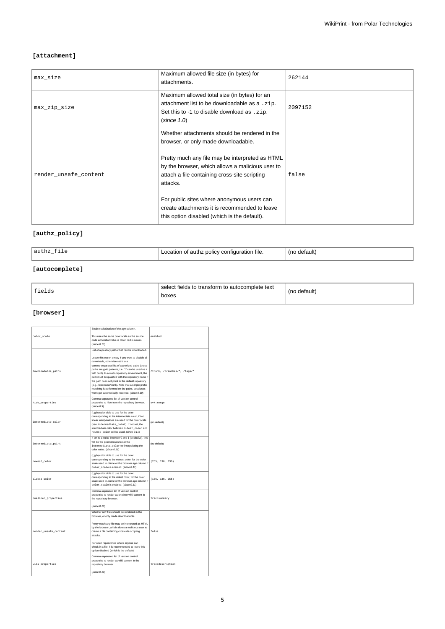## **[attachment]**

| max_size              | Maximum allowed file size (in bytes) for<br>attachments.                                                                                                                                                                                                                                                                                                                                                | 262144  |
|-----------------------|---------------------------------------------------------------------------------------------------------------------------------------------------------------------------------------------------------------------------------------------------------------------------------------------------------------------------------------------------------------------------------------------------------|---------|
| max_zip_size          | Maximum allowed total size (in bytes) for an<br>attachment list to be downloadable as a . zip.<br>Set this to -1 to disable download as . zip.<br>(since 1.0)                                                                                                                                                                                                                                           | 2097152 |
| render unsafe content | Whether attachments should be rendered in the<br>browser, or only made downloadable.<br>Pretty much any file may be interpreted as HTML<br>by the browser, which allows a malicious user to<br>attach a file containing cross-site scripting<br>attacks.<br>For public sites where anonymous users can<br>create attachments it is recommended to leave<br>this option disabled (which is the default). | false   |

## **[authz\_policy]**

| 'authz_<br>---- | f authz policy configuration file.<br>∟ocation<br>and the state of the state of | tefault |
|-----------------|---------------------------------------------------------------------------------|---------|
|                 |                                                                                 |         |

## **[autocomplete]**

| fields | select fields to transform to autocomplete text<br>boxes | (no default) |
|--------|----------------------------------------------------------|--------------|
|        |                                                          |              |

### **[browser]**

|                       | Enable colorization of the age column.                                                                                                                                                                                                                                                                                                                                                                                                                                                                                                                                        |                              |
|-----------------------|-------------------------------------------------------------------------------------------------------------------------------------------------------------------------------------------------------------------------------------------------------------------------------------------------------------------------------------------------------------------------------------------------------------------------------------------------------------------------------------------------------------------------------------------------------------------------------|------------------------------|
| color_scale           | This uses the same color scale as the source<br>code annotation: blue is older, red is newer.<br>(since 0.11)                                                                                                                                                                                                                                                                                                                                                                                                                                                                 | ensbled                      |
| downloadable_paths    | List of repository paths that can be downloaded.<br>Leave this option empty if you want to disable all<br>downloads, otherwise set it to a<br>comma-separated list of authorized paths (those<br>paths are glob patterns, i.e. "*" can be used as a<br>wild card). In a multi-repository environment, the<br>path must be qualified with the repository name if<br>the path does not point to the default repository<br>(e.g. /reponame/trunk). Note that a simple prefix<br>matching is performed on the paths, so aliases<br>won't get automatically resolved. (since 0.10) | /trunk, /branches/*, /tags/* |
| hide_properties       | Comma-separated list of version control<br>properties to hide from the repository browser.<br>(since 0.9)                                                                                                                                                                                                                                                                                                                                                                                                                                                                     | svk:merge                    |
| intermediate_color    | (r,g,b) color triple to use for the color<br>corresponding to the intermediate color, if two<br>linear interpolations are used for the color scale<br>(see intermediate_point). If not set, the<br>intermediate color between oldest_color and<br>newest_color will be used. (since 0.11)                                                                                                                                                                                                                                                                                     | (no default)                 |
| intermediate_point    | If set to a value between 0 and 1 (exclusive), this<br>will be the point chosen to set the<br>intermediate_color for interpolating the<br>color value. (since 0.11)                                                                                                                                                                                                                                                                                                                                                                                                           | (no default)                 |
| newest color          | (r,g,b) color triple to use for the color<br>corresponding to the newest color, for the color<br>scale used in blame or the browser age column if<br>color_scale is enabled. (since 0.11)                                                                                                                                                                                                                                                                                                                                                                                     | (255, 136, 136)              |
| oldest_color          | (r,g,b) color triple to use for the color<br>corresponding to the oldest color, for the color<br>scale used in blame or the browser age column if<br>color_scale is enabled. (since 0.11)                                                                                                                                                                                                                                                                                                                                                                                     | (136, 136, 255)              |
| oneliner_properties   | Comma-separated list of version control<br>properties to render as oneliner wiki content in<br>the repository browser.<br>(since 0.11)                                                                                                                                                                                                                                                                                                                                                                                                                                        | trac:summary                 |
| render_unsafe_content | Whether raw files should be rendered in the<br>browser, or only made downloadable.<br>Pretty much any file may be interpreted as HTML<br>by the browser, which allows a malicious user to<br>create a file containing cross-site scripting<br>attacks.<br>For open repositories where anyone can<br>check-in a file, it is recommended to leave this<br>option disabled (which is the default).                                                                                                                                                                               | false                        |
| wiki_properties       | Comma-separated list of version control<br>properties to render as wiki content in the<br>repository browser.<br>(since 0.11)                                                                                                                                                                                                                                                                                                                                                                                                                                                 | trac:description             |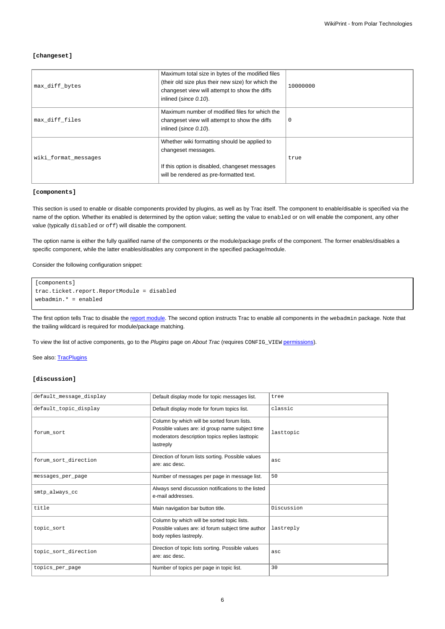### **[changeset]**

| max diff bytes       | Maximum total size in bytes of the modified files<br>(their old size plus their new size) for which the<br>changeset view will attempt to show the diffs<br>inlined (since 0.10). | 10000000    |
|----------------------|-----------------------------------------------------------------------------------------------------------------------------------------------------------------------------------|-------------|
| max diff files       | Maximum number of modified files for which the<br>changeset view will attempt to show the diffs<br>inlined (since 0.10).                                                          | $\mathbf 0$ |
| wiki format messages | Whether wiki formatting should be applied to<br>changeset messages.<br>If this option is disabled, changeset messages<br>will be rendered as pre-formatted text.                  | true        |

## **[components]**

This section is used to enable or disable components provided by plugins, as well as by Trac itself. The component to enable/disable is specified via the name of the option. Whether its enabled is determined by the option value; setting the value to enabled or on will enable the component, any other value (typically disabled or off) will disable the component.

The option name is either the fully qualified name of the components or the module/package prefix of the component. The former enables/disables a specific component, while the latter enables/disables any component in the specified package/module.

Consider the following configuration snippet:

```
[components]
trac.ticket.report.ReportModule = disabled
webadmin.* = enabled
```
The first option tells Trac to disable the [report module.](https://meteo.unican.es/trac/wiki/TracReports) The second option instructs Trac to enable all components in the webadmin package. Note that the trailing wildcard is required for module/package matching.

To view the list of active components, go to the Plugins page on About Trac (requires CONFIG\_VIEW [permissions](https://meteo.unican.es/trac/wiki/TracPermissions)).

See also: [TracPlugins](https://meteo.unican.es/trac/wiki/TracPlugins)

### **[discussion]**

| default_message_display | Default display mode for topic messages list.                                                                                                                  | tree       |
|-------------------------|----------------------------------------------------------------------------------------------------------------------------------------------------------------|------------|
| default_topic_display   | Default display mode for forum topics list.                                                                                                                    | classic    |
| forum_sort              | Column by which will be sorted forum lists.<br>Possible values are: id group name subject time<br>moderators description topics replies lasttopic<br>lastreply | lasttopic  |
| forum sort direction    | Direction of forum lists sorting. Possible values<br>are: asc desc.                                                                                            | asc        |
| messages_per_page       | Number of messages per page in message list.                                                                                                                   | 50         |
| smtp always cc          | Always send discussion notifications to the listed<br>e-mail addresses.                                                                                        |            |
| title                   | Main navigation bar button title.                                                                                                                              | Discussion |
| topic_sort              | Column by which will be sorted topic lists.<br>Possible values are: id forum subject time author<br>body replies lastreply.                                    | lastreply  |
| topic sort direction    | Direction of topic lists sorting. Possible values<br>are: asc desc.                                                                                            | asc        |
| topics_per_page         | Number of topics per page in topic list.                                                                                                                       | 30         |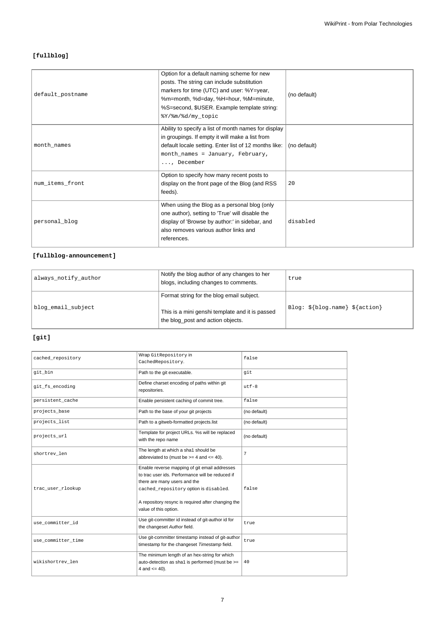## **[fullblog]**

| default postname | Option for a default naming scheme for new<br>posts. The string can include substitution<br>markers for time (UTC) and user: %Y=year,<br>%m=month, %d=day, %H=hour, %M=minute,<br>%S=second, \$USER. Example template string:<br>%Y/%m/%d/my_topic | (no default) |
|------------------|----------------------------------------------------------------------------------------------------------------------------------------------------------------------------------------------------------------------------------------------------|--------------|
| month_names      | Ability to specify a list of month names for display<br>in groupings. If empty it will make a list from<br>default locale setting. Enter list of 12 months like:<br>month_names = January, February,<br>, December                                 | (no default) |
| num_items_front  | Option to specify how many recent posts to<br>display on the front page of the Blog (and RSS<br>feeds).                                                                                                                                            | 20           |
| personal_blog    | When using the Blog as a personal blog (only<br>one author), setting to 'True' will disable the<br>display of 'Browse by author:' in sidebar, and<br>also removes various author links and<br>references.                                          | disabled     |

## **[fullblog-announcement]**

| always_notify_author | Notify the blog author of any changes to her<br>blogs, including changes to comments.                                             | true                           |
|----------------------|-----------------------------------------------------------------------------------------------------------------------------------|--------------------------------|
| blog_email_subject   | Format string for the blog email subject.<br>This is a mini genshi template and it is passed<br>the blog_post and action objects. | Blog: \${blog.name} \${action} |

### **[git]**

| cached repository  | Wrap GitRepository in<br>CachedRepository.                                                                                                                                                                                                                | false        |
|--------------------|-----------------------------------------------------------------------------------------------------------------------------------------------------------------------------------------------------------------------------------------------------------|--------------|
| qit bin            | Path to the git executable.                                                                                                                                                                                                                               | qit          |
| git_fs_encoding    | Define charset encoding of paths within git<br>repositories.                                                                                                                                                                                              | $u$ t f - 8  |
| persistent cache   | Enable persistent caching of commit tree.                                                                                                                                                                                                                 | false        |
| projects base      | Path to the base of your git projects                                                                                                                                                                                                                     | (no default) |
| projects list      | Path to a gitweb-formatted projects.list                                                                                                                                                                                                                  | (no default) |
| projects_url       | Template for project URLs. %s will be replaced<br>with the repo name                                                                                                                                                                                      | (no default) |
| shortrev len       | The length at which a sha1 should be<br>abbreviated to (must be $>=$ 4 and $<=$ 40).                                                                                                                                                                      | 7            |
| trac_user_rlookup  | Enable reverse mapping of git email addresses<br>to trac user ids. Performance will be reduced if<br>there are many users and the<br>cached_repository option is disabled.<br>A repository resync is required after changing the<br>value of this option. | false        |
| use committer id   | Use git-committer id instead of git-author id for<br>the changeset Author field.                                                                                                                                                                          | true         |
| use_committer_time | Use git-committer timestamp instead of git-author<br>timestamp for the changeset Timestamp field.                                                                                                                                                         | true         |
| wikishortrev len   | The minimum length of an hex-string for which<br>auto-detection as sha1 is performed (must be >=<br>4 and $\leq$ 40).                                                                                                                                     | 40           |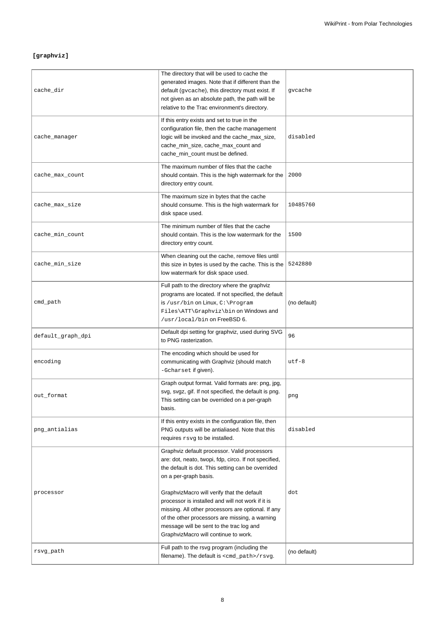## **[graphviz]**

| cache_dir         | The directory that will be used to cache the<br>generated images. Note that if different than the<br>default (gycache), this directory must exist. If<br>not given as an absolute path, the path will be<br>relative to the Trac environment's directory.                                   | gvcache      |
|-------------------|---------------------------------------------------------------------------------------------------------------------------------------------------------------------------------------------------------------------------------------------------------------------------------------------|--------------|
| cache_manager     | If this entry exists and set to true in the<br>configuration file, then the cache management<br>logic will be invoked and the cache_max_size,<br>cache_min_size, cache_max_count and<br>cache_min_count must be defined.                                                                    | disabled     |
| cache_max_count   | The maximum number of files that the cache<br>should contain. This is the high watermark for the<br>directory entry count.                                                                                                                                                                  | 2000         |
| cache_max_size    | The maximum size in bytes that the cache<br>should consume. This is the high watermark for<br>disk space used.                                                                                                                                                                              | 10485760     |
| cache_min_count   | The minimum number of files that the cache<br>should contain. This is the low watermark for the<br>directory entry count.                                                                                                                                                                   | 1500         |
| cache_min_size    | When cleaning out the cache, remove files until<br>this size in bytes is used by the cache. This is the<br>low watermark for disk space used.                                                                                                                                               | 5242880      |
| cmd_path          | Full path to the directory where the graphviz<br>programs are located. If not specified, the default<br>is /usr/bin on Linux, C: \Program<br>Files\ATT\Graphviz\bin on Windows and<br>/usr/local/bin on FreeBSD 6.                                                                          | (no default) |
| default_graph_dpi | Default dpi setting for graphviz, used during SVG<br>to PNG rasterization.                                                                                                                                                                                                                  | 96           |
| encoding          | The encoding which should be used for<br>communicating with Graphviz (should match<br>-Gcharset if given).                                                                                                                                                                                  | $utf-8$      |
| out_format        | Graph output format. Valid formats are: png, jpg,<br>svg, svgz, gif. If not specified, the default is png.<br>This setting can be overrided on a per-graph<br>basis.                                                                                                                        | png          |
| png_antialias     | If this entry exists in the configuration file, then<br>PNG outputs will be antialiased. Note that this<br>requires rsvg to be installed.                                                                                                                                                   | disabled     |
|                   | Graphviz default processor. Valid processors<br>are: dot, neato, twopi, fdp, circo. If not specified,<br>the default is dot. This setting can be overrided<br>on a per-graph basis.                                                                                                         |              |
| processor         | GraphvizMacro will verify that the default<br>processor is installed and will not work if it is<br>missing. All other processors are optional. If any<br>of the other processors are missing, a warning<br>message will be sent to the trac log and<br>GraphvizMacro will continue to work. | dot          |
| rsvg_path         | Full path to the rsvg program (including the<br>filename). The default is $\text{cmd}_\text{path}$ / $\text{rsvg}$ .                                                                                                                                                                        | (no default) |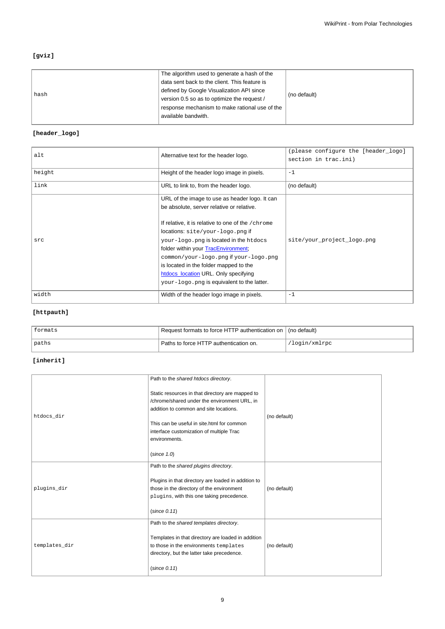## **[gviz]**

| hash | The algorithm used to generate a hash of the   | (no default) |
|------|------------------------------------------------|--------------|
|      | data sent back to the client. This feature is  |              |
|      | defined by Google Visualization API since      |              |
|      | version 0.5 so as to optimize the request /    |              |
|      | response mechanism to make rational use of the |              |
|      | available bandwith.                            |              |
|      |                                                |              |

## **[header\_logo]**

| alt    | Alternative text for the header logo.                                                                                                                                                                                                                                                                                                                                                        | (please configure the [header_logo]<br>section in trac.ini) |
|--------|----------------------------------------------------------------------------------------------------------------------------------------------------------------------------------------------------------------------------------------------------------------------------------------------------------------------------------------------------------------------------------------------|-------------------------------------------------------------|
| height | Height of the header logo image in pixels.                                                                                                                                                                                                                                                                                                                                                   | $-1$                                                        |
| link   | URL to link to, from the header logo.                                                                                                                                                                                                                                                                                                                                                        | (no default)                                                |
|        | URL of the image to use as header logo. It can                                                                                                                                                                                                                                                                                                                                               |                                                             |
| src    | be absolute, server relative or relative.<br>If relative, it is relative to one of the /chrome<br>locations: site/your-logo.png if<br>your-logo.png is located in the htdocs<br>folder within your TracEnvironment;<br>common/your-logo.png if your-logo.png<br>is located in the folder mapped to the<br>htdocs_location URL. Only specifying<br>your-logo.png is equivalent to the latter. | site/your_project_logo.png                                  |
| width  | Width of the header logo image in pixels.                                                                                                                                                                                                                                                                                                                                                    | $-1$                                                        |

## **[httpauth]**

| formats | Request formats to force HTTP authentication on   (no default) |               |
|---------|----------------------------------------------------------------|---------------|
| paths   | Paths to force HTTP authentication on.                         | 'login/xmlrpc |

## **[inherit]**

|               | Path to the shared htdocs directory.                                                             |              |
|---------------|--------------------------------------------------------------------------------------------------|--------------|
|               | Static resources in that directory are mapped to<br>/chrome/shared under the environment URL, in |              |
| htdocs_dir    | addition to common and site locations.                                                           | (no default) |
|               | This can be useful in site.html for common                                                       |              |
|               | interface customization of multiple Trac                                                         |              |
|               | environments.                                                                                    |              |
|               | (since 1.0)                                                                                      |              |
|               | Path to the shared plugins directory.                                                            |              |
|               | Plugins in that directory are loaded in addition to                                              |              |
| plugins_dir   | those in the directory of the environment                                                        | (no default) |
|               | plugins, with this one taking precedence.                                                        |              |
|               | (since 0.11)                                                                                     |              |
|               | Path to the shared templates directory.                                                          |              |
| templates_dir | Templates in that directory are loaded in addition                                               |              |
|               | to those in the environments templates                                                           | (no default) |
|               | directory, but the latter take precedence.                                                       |              |
|               | (since 0.11)                                                                                     |              |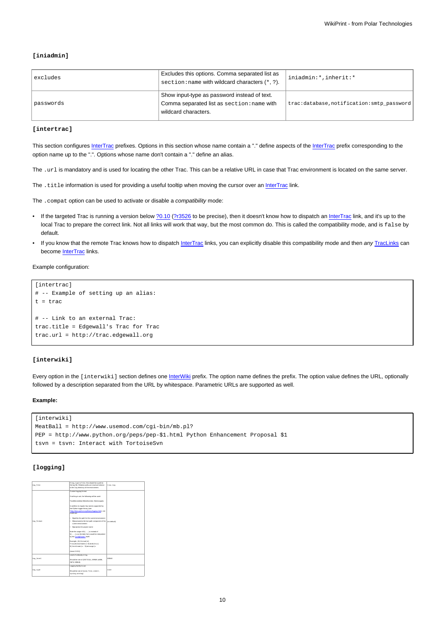## **[iniadmin]**

| excludes  | Excludes this options. Comma separated list as<br>section: name with wildcard characters (*, ?).                   | iniadmin:*, inherit:*                    |
|-----------|--------------------------------------------------------------------------------------------------------------------|------------------------------------------|
| passwords | Show input-type as password instead of text.<br>Comma separated list as section: name with<br>wildcard characters. | trac:database,notification:smtp_password |

#### **[intertrac]**

This section configures [InterTrac](https://meteo.unican.es/trac/wiki/InterTrac) prefixes. Options in this section whose name contain a "." define aspects of the InterTrac prefix corresponding to the option name up to the ".". Options whose name don't contain a "." define an alias.

The .url is mandatory and is used for locating the other Trac. This can be a relative URL in case that Trac environment is located on the same server.

The .title information is used for providing a useful tooltip when moving the cursor over an [InterTrac](https://meteo.unican.es/trac/wiki/InterTrac) link.

The . compat option can be used to activate or disable a *compatibility* mode:

- If the targeted Trac is running a version below [?0.10](http://trac.edgewall.org/intertrac/milestone%3A0.10) [\(?r3526](http://trac.edgewall.org/intertrac/r3526) to be precise), then it doesn't know how to dispatch an [InterTrac](https://meteo.unican.es/trac/wiki/InterTrac) link, and it's up to the local Trac to prepare the correct link. Not all links will work that way, but the most common do. This is called the compatibility mode, and is false by default.
- If you know that the remote Trac knows how to dispatch [InterTrac](https://meteo.unican.es/trac/wiki/InterTrac) links, you can explicitly disable this compatibility mode and then any [TracLinks](https://meteo.unican.es/trac/wiki/TracLinks) can become [InterTrac](https://meteo.unican.es/trac/wiki/InterTrac) links.

#### Example configuration:

```
[intertrac]
# -- Example of setting up an alias:
t = trac
# -- Link to an external Trac:
trac.title = Edgewall's Trac for Trac
trac.url = http://trac.edgewall.org
```
#### **[interwiki]**

Every option in the [interwiki] section defines one [InterWiki](https://meteo.unican.es/trac/wiki/InterWiki) prefix. The option name defines the prefix. The option value defines the URL, optionally followed by a description separated from the URL by whitespace. Parametric URLs are supported as well.

#### **Example:**

```
[interwiki]
MeatBall = http://www.usemod.com/cgi-bin/mb.pl?
PEP = http://www.python.org/peps/pep-$1.html Python Enhancement Proposal $1
tsvn = tsvn: Interact with TortoiseSvn
```
#### **[logging]**

|            | If log_type is file, this should be a path to                                       |             |
|------------|-------------------------------------------------------------------------------------|-------------|
| log file   | the log-file. Relative paths are resolved relative                                  | trac.log    |
|            | to the log directory of the environment.                                            |             |
|            | Custom logging format.                                                              |             |
|            | If nothing is set, the following will be used:                                      |             |
|            | Track/moduletal S/Jevelnamete: S/message/ta                                         |             |
|            | In addition to requier key names supported by                                       |             |
|            | the Python logger library (see                                                      |             |
|            | ?http://docs.python.org/ibrary/logging.html), one                                   |             |
|            | medici control                                                                      |             |
|            | . Sizuthis the path for the current environment                                     |             |
| log format | . Sibasenamels the last path component of the 1 (no default)<br>current anxiovement |             |
|            | . Sizepiectis the project name                                                      |             |
|            |                                                                                     |             |
|            | Note the usage of 21 ) a instead of                                                 |             |
|            | t ( ) a sa the latter form would be interpreted                                     |             |
|            | by the ConfigParser? itself.                                                        |             |
|            | Example: (S) throad (d)                                                             |             |
|            | Tracidibasename is : Simodule is !                                                  |             |
|            | S(levelname)s: S(messace)s                                                          |             |
|            | (aince 0.10.5)                                                                      |             |
|            | Level of verbosity in log.                                                          |             |
|            |                                                                                     |             |
| log level  | Should be one of (CRITICAL, ERROR, WARN,                                            | nescio      |
|            | INFO. DESIGN.                                                                       |             |
|            | Logging facility to use.                                                            |             |
|            |                                                                                     |             |
| log type   | Should be one of (none, file, stderr,                                               | <b>LODA</b> |
|            | svalos_winlool.                                                                     |             |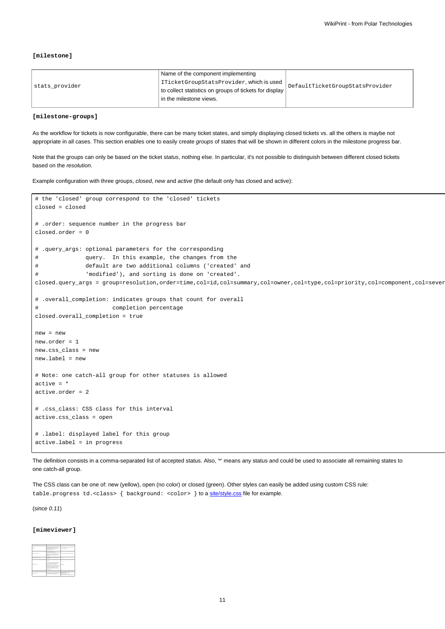#### **[milestone]**

| stats provider | Name of the component implementing                     | DefaultTicketGroupStatsProvider |
|----------------|--------------------------------------------------------|---------------------------------|
|                | ITicketGroupStatsProvider, which is used               |                                 |
|                | to collect statistics on groups of tickets for display |                                 |
|                | In the milestone views.                                |                                 |
|                |                                                        |                                 |

#### **[milestone-groups]**

As the workflow for tickets is now configurable, there can be many ticket states, and simply displaying closed tickets vs. all the others is maybe not appropriate in all cases. This section enables one to easily create groups of states that will be shown in different colors in the milestone progress bar.

Note that the groups can only be based on the ticket status, nothing else. In particular, it's not possible to distinguish between different closed tickets based on the resolution.

Example configuration with three groups, closed, new and active (the default only has closed and active):

```
# the 'closed' group correspond to the 'closed' tickets
closed = closed
# .order: sequence number in the progress bar
closed.order = 0
# .query_args: optional parameters for the corresponding
# query. In this example, the changes from the
# default are two additional columns ('created' and
# 'modified'), and sorting is done on 'created'.
closed.query_args = group=resolution,order=time,col=id,col=summary,col=owner,col=type,col=priority,col=component,col=sever
# .overall_completion: indicates groups that count for overall
# completion percentage
closed.overall_completion = true
new = new
new.order = 1
new.css_class = new
new.label = new
# Note: one catch-all group for other statuses is allowed
active = *
active.order = 2
# .css_class: CSS class for this interval
active.css_class = open
# .label: displayed label for this group
active.label = in progress
```
The definition consists in a comma-separated list of accepted status. Also, '\*' means any status and could be used to associate all remaining states to one catch-all group.

The CSS class can be one of: new (yellow), open (no color) or closed (green). Other styles can easily be added using custom CSS rule: table.progress td.<class> { background: <color> } to a [site/style.css](https://meteo.unican.es/trac/wiki/TracInterfaceCustomization#SiteAppearance) file for example.

(since 0.11)

#### **[mimeviewer]**

|                         | <b>CONTRACTOR</b> CONTRACTOR                                                                                                                                                                                                                                                                                                                                                     |                                                       |
|-------------------------|----------------------------------------------------------------------------------------------------------------------------------------------------------------------------------------------------------------------------------------------------------------------------------------------------------------------------------------------------------------------------------|-------------------------------------------------------|
| $\sim$                  | <b>ACCUMULATED THE EXTENSION</b><br><b>Dealer Sterley as allow marked and</b><br>to an end in the best company.<br>www.articles.com/www.articles.com<br><b>MORE MAY A</b>                                                                                                                                                                                                        | contractor to be contract on<br><b>Report Follows</b> |
| the age and the         | -------------<br><b>Sendersforts Benderer</b><br><b>ASSAULTER FOOT FRAUD TO AN A</b><br><b>CONTRACTOR</b><br>ing to change in cold to a star ?"<br><b>Service</b>                                                                                                                                                                                                                | and industry to                                       |
| comes delays and        | <b>STRAKE CONTRACTOR</b><br><b>Latings</b>                                                                                                                                                                                                                                                                                                                                       |                                                       |
| <b>CONTRACTOR</b>       | <b>CONTRACTOR</b><br><b>Local</b><br><b>Detect a ball and contact to be contact.</b><br>be to be made in which women is be-<br><b>MAX</b> has well-information<br><b>Durante from the world's business</b><br>and works will be posted and assumption<br><b>Service Tells Anti-Additional Company</b><br>particular advertisements and before<br><b><i><u>Department</u></i></b> | <b><i><u>Department</u></i></b>                       |
| $-$                     | <b>School and Chrysler Service</b>                                                                                                                                                                                                                                                                                                                                               |                                                       |
| <b>County of School</b> | <b><i>SERVICES CREWS AND LONGITUDE</i></b><br>Complete home and completed                                                                                                                                                                                                                                                                                                        | <b>Service Controller</b><br>and and the              |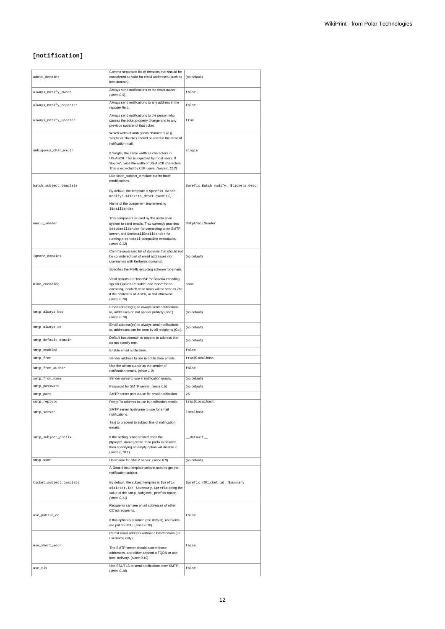## **[notification]**

| admit_domains           | Comma-separated list of domains that should be<br>considered as valid for email addresses (such as<br>localdomain).                                                                                                                                                                                                           | (no default)                           |
|-------------------------|-------------------------------------------------------------------------------------------------------------------------------------------------------------------------------------------------------------------------------------------------------------------------------------------------------------------------------|----------------------------------------|
| always_notify_owner     | Always send notifications to the ticket owner<br>(since 0.9).                                                                                                                                                                                                                                                                 | false                                  |
| always_notify_reporter  | Always send notifications to any address in the<br>reporter field.                                                                                                                                                                                                                                                            | false                                  |
| always_notify_updater   | Always send notifications to the person who<br>causes the ticket property change and to any<br>previous updater of that ticket.                                                                                                                                                                                               | true                                   |
| ambiguous_char_width    | Which width of ambiguous characters (e.g.<br>'single' or 'double') should be used in the table of<br>notification mail.<br>If 'single', the same width as characters in<br>US-ASCII. This is expected by most users. If<br>'double', twice the width of US-ASCII characters.<br>This is expected by CJK users. (since 0.12.2) | single                                 |
| batch_subject_template  | Like ticket_subject_template but for batch<br>modifications.<br>By default, the template is \$prefix Batch<br>modify: \$tickets_descr. (Since 1.0)                                                                                                                                                                            | \$prefix Batch modify: \$tickets_descr |
| email_sender            | Name of the component implementing<br>IEmailSender.<br>This component is used by the notification<br>system to send emails. Trac currently provides<br>SmtpEmailSender for connecting to an SMTP<br>server, and SendmailEmailSender for<br>running a sendmail-compatible executable.<br>(since 0.12)                          | SmtpEmailSender                        |
| ignore_domains          | Comma-separated list of domains that should not<br>be considered part of email addresses (for<br>usernames with Kerberos domains).                                                                                                                                                                                            | (no default)                           |
| mime_encoding           | Specifies the MIME encoding scheme for emails.<br>Valid options are 'base64' for Base64 encoding,<br>'qp' for Quoted-Printable, and 'none' for no<br>encoding, in which case mails will be sent as 7bit<br>if the content is all ASCII, or 8bit otherwise.<br>(since 0.10)                                                    | none                                   |
| smtp_always_bcc         | Email address(es) to always send notifications<br>to, addresses do not appear publicly (Bcc:).<br>(since 0.10)                                                                                                                                                                                                                | (no default)                           |
| smtp_always_cc          | Email address(es) to always send notifications<br>to, addresses can be seen by all recipients (Cc:).                                                                                                                                                                                                                          | (no default)                           |
| smtp_default_domain     | Default host/domain to append to address that<br>do not specify one.                                                                                                                                                                                                                                                          | (no default)                           |
| smtp_enabled            | Enable email notification.                                                                                                                                                                                                                                                                                                    | false                                  |
| smtp_from               | Sender address to use in notification emails.                                                                                                                                                                                                                                                                                 | trac@localhost                         |
| smtp_from_author        | Use the action author as the sender of<br>notification emails. (since 1.0)                                                                                                                                                                                                                                                    | false                                  |
| smtp_from_name          | Sender name to use in notification emails.                                                                                                                                                                                                                                                                                    | (no default)                           |
| smtp_password           | Password for SMTP server. (since 0.9)                                                                                                                                                                                                                                                                                         | (no default)                           |
| smtp_port               | SMTP server port to use for email notification.                                                                                                                                                                                                                                                                               | 25                                     |
| smtp_repiyto            | Reply-To address to use in notification emails.                                                                                                                                                                                                                                                                               | tracwiocainost                         |
| smtp_server             | SMTP server hostname to use for email<br>notifications.                                                                                                                                                                                                                                                                       | localhost                              |
|                         | Text to prepend to subject line of notification<br>emails.                                                                                                                                                                                                                                                                    |                                        |
| smtp_subject_prefix     | If the setting is not defined, then the<br>[\$project_name] prefix. If no prefix is desired,<br>then specifying an empty option will disable it.<br>(since 0.10.1)                                                                                                                                                            | ${\tt \_default\_}$                    |
| smtp_user               | Username for SMTP server. (since 0.9)                                                                                                                                                                                                                                                                                         | (no default)                           |
|                         | A Genshi text template snippet used to get the<br>notification subject.                                                                                                                                                                                                                                                       |                                        |
| ticket_subject_template | By default, the subject template is \$prefix<br>#\$ticket.id: \$summary.\$prefix being the<br>value of the smtp_subject_prefix option.<br>(since 0.11)                                                                                                                                                                        | Sprefix #Sticket.id: Ssummary          |
| use_public_cc           | Recipients can see email addresses of other<br>CC'ed recipients.<br>If this option is disabled (the default), recipients<br>are put on BCC. (since 0.10)                                                                                                                                                                      | false                                  |
|                         | Permit email address without a host/domain (i.e.                                                                                                                                                                                                                                                                              |                                        |
|                         | username only).                                                                                                                                                                                                                                                                                                               |                                        |
| use_short_addr          | The SMTP server should accept those<br>addresses, and either append a FQDN or use<br>local delivery. (since 0.10)                                                                                                                                                                                                             | false                                  |
|                         | Use SSL/TLS to send notifications over SMTP.                                                                                                                                                                                                                                                                                  | false                                  |
| use_tls                 | (since 0.10)                                                                                                                                                                                                                                                                                                                  |                                        |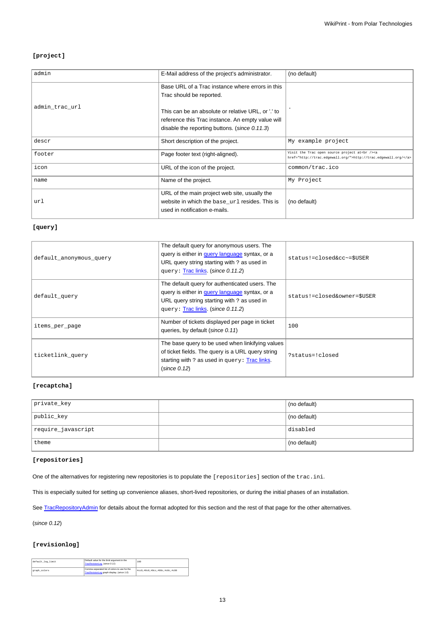## **[project]**

|                                                   | (no default)                                                                                                             |
|---------------------------------------------------|--------------------------------------------------------------------------------------------------------------------------|
| Base URL of a Trac instance where errors in this  |                                                                                                                          |
| Trac should be reported.                          |                                                                                                                          |
|                                                   |                                                                                                                          |
|                                                   |                                                                                                                          |
| reference this Trac instance. An empty value will |                                                                                                                          |
| disable the reporting buttons. (since 0.11.3)     |                                                                                                                          |
| Short description of the project.                 | My example project                                                                                                       |
| Page footer text (right-aligned).                 | Visit the Trac open source project at<br>>>>> <a<br>href="http://trac.edgewall.org/"&gt;http://trac.edgewall.org/</a<br> |
| URL of the icon of the project.                   | common/trac.ico                                                                                                          |
| Name of the project.                              | My Project                                                                                                               |
| URL of the main project web site, usually the     |                                                                                                                          |
| website in which the base_url resides. This is    | (no default)                                                                                                             |
| used in notification e-mails.                     |                                                                                                                          |
|                                                   | E-Mail address of the project's administrator.<br>This can be an absolute or relative URL, or '.' to                     |

### **[query]**

| default_anonymous_query | The default query for anonymous users. The<br>query is either in query language syntax, or a<br>URL query string starting with ? as used in<br>query: Trac links. (since 0.11.2)     | status!=closed&cc~=\$USER   |
|-------------------------|--------------------------------------------------------------------------------------------------------------------------------------------------------------------------------------|-----------------------------|
| default_query           | The default query for authenticated users. The<br>query is either in query language syntax, or a<br>URL query string starting with ? as used in<br>query: Trac links. (since 0.11.2) | status!=closed&owner=\$USER |
| items_per_page          | Number of tickets displayed per page in ticket<br>queries, by default (since 0.11)                                                                                                   | 100                         |
| ticketlink query        | The base query to be used when linkifying values<br>of ticket fields. The query is a URL query string<br>starting with ? as used in query: Trac links.<br>(since 0.12)               | ?status=!closed             |

#### **[recaptcha]**

| private_key        | (no default) |
|--------------------|--------------|
| public_key         | (no default) |
| require_javascript | disabled     |
| theme              | (no default) |

### **[repositories]**

One of the alternatives for registering new repositories is to populate the [repositories] section of the trac.ini.

This is especially suited for setting up convenience aliases, short-lived repositories, or during the initial phases of an installation.

See [TracRepositoryAdmin](https://meteo.unican.es/trac/wiki/TracRepositoryAdmin#Intrac.ini) for details about the format adopted for this section and the rest of that page for the other alternatives.

(since 0.12)

### **[revisionlog]**

| default log limit | Default value for the limit aroument in the<br>TracRevisionLog. (since 0.11)                | 100                           |
|-------------------|---------------------------------------------------------------------------------------------|-------------------------------|
| graph_colors      | Comma-separated list of colors to use for the<br>TracRevisionLog graph display. (since 1.0) | #cc0.#0c0.#0cc.#00c.#c0c.#c00 |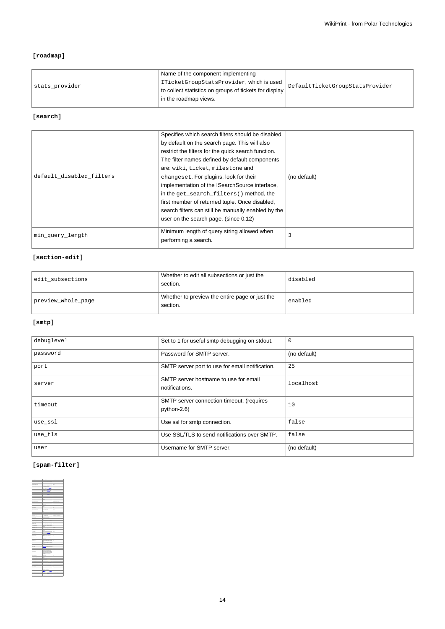## **[roadmap]**

| stats provider | Name of the component implementing<br>ITicketGroupStatsProvider, which is used<br>to collect statistics on groups of tickets for display | DefaultTicketGroupStatsProvider |
|----------------|------------------------------------------------------------------------------------------------------------------------------------------|---------------------------------|
|                | in the roadmap views.                                                                                                                    |                                 |
|                |                                                                                                                                          |                                 |

## **[search]**

| default disabled filters | Specifies which search filters should be disabled<br>by default on the search page. This will also<br>restrict the filters for the quick search function.<br>The filter names defined by default components<br>are: wiki, ticket, milestone and<br>changeset. For plugins, look for their<br>implementation of the ISearchSource interface,<br>in the get_search_filters() method, the<br>first member of returned tuple. Once disabled,<br>search filters can still be manually enabled by the<br>user on the search page. (since 0.12) | (no default) |
|--------------------------|------------------------------------------------------------------------------------------------------------------------------------------------------------------------------------------------------------------------------------------------------------------------------------------------------------------------------------------------------------------------------------------------------------------------------------------------------------------------------------------------------------------------------------------|--------------|
| min_query_length         | Minimum length of query string allowed when<br>performing a search.                                                                                                                                                                                                                                                                                                                                                                                                                                                                      |              |

## **[section-edit]**

| edit subsections   | Whether to edit all subsections or just the<br>section.    | disabled |
|--------------------|------------------------------------------------------------|----------|
| preview whole page | Whether to preview the entire page or just the<br>section. | enabled  |

## **[smtp]**

| debuglevel | Set to 1 for useful smtp debugging on stdout.            | $\mathbf 0$  |
|------------|----------------------------------------------------------|--------------|
| password   | Password for SMTP server.                                | (no default) |
| port       | SMTP server port to use for email notification.          | 25           |
| server     | SMTP server hostname to use for email<br>notifications.  | localhost    |
| timeout    | SMTP server connection timeout. (requires<br>python-2.6) | 10           |
| use_ssl    | Use ssl for smtp connection.                             | false        |
| use_tls    | Use SSL/TLS to send notifications over SMTP.             | false        |
| user       | Username for SMTP server.                                | (no default) |

## **[spam-filter]**

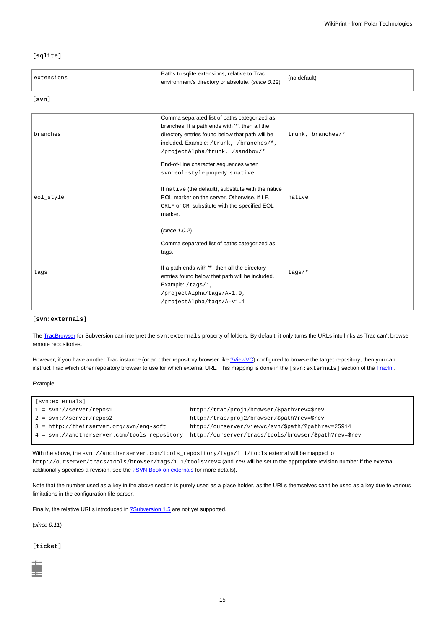### **[sqlite]**

| extensions | Paths to salite extensions, relative to Trac<br>environment's directory or absolute. (since 0.12) | (no default) |
|------------|---------------------------------------------------------------------------------------------------|--------------|
|------------|---------------------------------------------------------------------------------------------------|--------------|

#### **[svn]**

| branches  | Comma separated list of paths categorized as<br>branches. If a path ends with "*', then all the<br>directory entries found below that path will be<br>included. Example: /trunk, /branches/*,<br>/projectAlpha/trunk, /sandbox/*                             | trunk, branches/* |
|-----------|--------------------------------------------------------------------------------------------------------------------------------------------------------------------------------------------------------------------------------------------------------------|-------------------|
| eol_style | End-of-Line character sequences when<br>svn:eol-style property is native.<br>If native (the default), substitute with the native<br>EOL marker on the server. Otherwise, if LF,<br>CRLF or CR, substitute with the specified EOL<br>marker.<br>(since 1.0.2) | native            |
| tags      | Comma separated list of paths categorized as<br>tags.<br>If a path ends with "*', then all the directory<br>entries found below that path will be included.<br>Example: /tags/*,<br>/projectAlpha/tags/A-1.0,<br>/projectAlpha/tags/A-v1.1                   | $tags/*$          |

#### **[svn:externals]**

The [TracBrowser](https://meteo.unican.es/trac/wiki/TracBrowser) for Subversion can interpret the svn: externals property of folders. By default, it only turns the URLs into links as Trac can't browse remote repositories.

However, if you have another Trac instance (or an other repository browser like [?ViewVC](http://www.viewvc.org/)) configured to browse the target repository, then you can instruct Trac which other repository browser to use for which external URL. This mapping is done in the [svn:externals] section of the [TracIni.](https://meteo.unican.es/trac/wiki/TracIni)

#### Example:

| [svn:externals]                                                    |                                                       |
|--------------------------------------------------------------------|-------------------------------------------------------|
| $1 = \frac{\text{svn}^2}{\text{server/repos1}}$                    | http://trac/projl/browser/\$path?rev=\$rev            |
| $2 = \frac{\text{svn}^2}{\text{server/repos2}}$                    | http://trac/proj2/browser/\$path?rev=\$rev            |
| 3 = http://theirserver.org/svn/eng-soft                            | http://ourserver/viewvc/svn/\$path/?pathrev=25914     |
| $4 = \frac{\text{syn:}}{\text{anotherserver.com/tools}$ repository | http://ourserver/tracs/tools/browser/\$path?rev=\$rev |
|                                                                    |                                                       |

With the above, the svn://anotherserver.com/tools\_repository/tags/1.1/tools external will be mapped to http://ourserver/tracs/tools/browser/tags/1.1/tools?rev= (and rev will be set to the appropriate revision number if the external additionally specifies a revision, see the **?SVN Book on externals** for more details).

Note that the number used as a key in the above section is purely used as a place holder, as the URLs themselves can't be used as a key due to various limitations in the configuration file parser.

Finally, the relative URLs introduced in **[?Subversion 1.5](http://subversion.apache.org/docs/release-notes/1.5.html#externals)** are not yet supported.

(since 0.11)

## **[ticket]**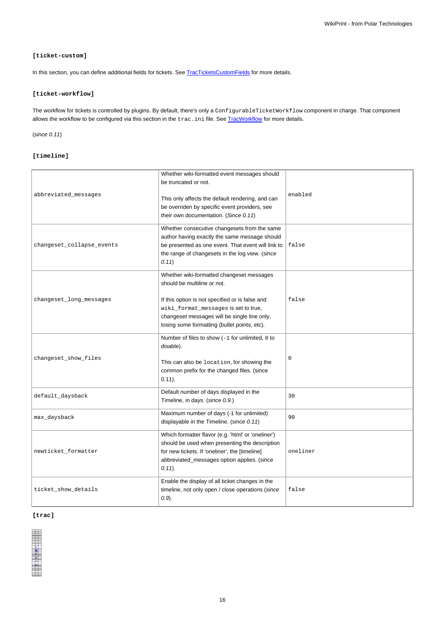### **[ticket-custom]**

In this section, you can define additional fields for tickets. See [TracTicketsCustomFields](https://meteo.unican.es/trac/wiki/TracTicketsCustomFields) for more details.

### **[ticket-workflow]**

The workflow for tickets is controlled by plugins. By default, there's only a ConfigurableTicketWorkflow component in charge. That component allows the workflow to be configured via this section in the trac.ini file. See [TracWorkflow](https://meteo.unican.es/trac/wiki/TracWorkflow) for more details.

## (since 0.11)

## **[timeline]**

| abbreviated_messages      | Whether wiki-formatted event messages should<br>be truncated or not.<br>This only affects the default rendering, and can<br>be overriden by specific event providers, see<br>their own documentation. (Since 0.11)                                                  | enabled     |
|---------------------------|---------------------------------------------------------------------------------------------------------------------------------------------------------------------------------------------------------------------------------------------------------------------|-------------|
| changeset_collapse_events | Whether consecutive changesets from the same<br>author having exactly the same message should<br>be presented as one event. That event will link to<br>the range of changesets in the log view. (since<br>(0.11)                                                    | false       |
| changeset_long_messages   | Whether wiki-formatted changeset messages<br>should be multiline or not.<br>If this option is not specified or is false and<br>wiki_format_messages is set to true,<br>changeset messages will be single line only,<br>losing some formatting (bullet points, etc). | false       |
| changeset_show_files      | Number of files to show (-1 for unlimited, 0 to<br>disable).<br>This can also be location, for showing the<br>common prefix for the changed files. (since<br>$0.11$ ).                                                                                              | $\mathbf 0$ |
| default_daysback          | Default number of days displayed in the<br>Timeline, in days. (since 0.9.)                                                                                                                                                                                          | 30          |
| max_daysback              | Maximum number of days (-1 for unlimited)<br>displayable in the Timeline. (since 0.11)                                                                                                                                                                              | 90          |
| newticket_formatter       | Which formatter flavor (e.g. 'html' or 'oneliner')<br>should be used when presenting the description<br>for new tickets. If 'oneliner', the [timeline]<br>abbreviated_messages option applies. (since<br>$(0.11)$ .                                                 | oneliner    |
| ticket_show_details       | Enable the display of all ticket changes in the<br>timeline, not only open / close operations (since<br>$(0.9)$ .                                                                                                                                                   | false       |

### **[trac]**



16